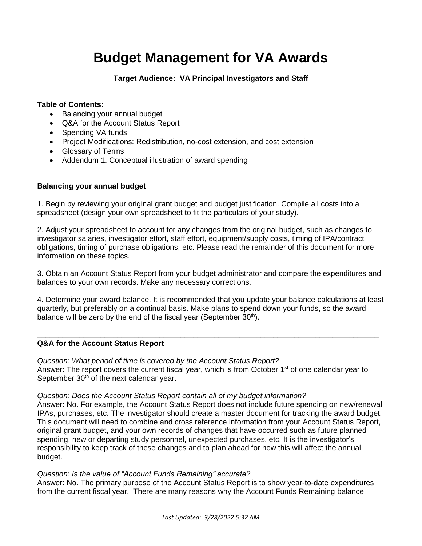# **Budget Management for VA Awards**

**Target Audience: VA Principal Investigators and Staff**

# **Table of Contents:**

- Balancing your annual budget
- Q&A for the Account Status Report
- Spending VA funds
- Project Modifications: Redistribution, no-cost extension, and cost extension
- Glossary of Terms
- Addendum 1. Conceptual illustration of award spending

#### **Balancing your annual budget**

1. Begin by reviewing your original grant budget and budget justification. Compile all costs into a spreadsheet (design your own spreadsheet to fit the particulars of your study).

2. Adjust your spreadsheet to account for any changes from the original budget, such as changes to investigator salaries, investigator effort, staff effort, equipment/supply costs, timing of IPA/contract obligations, timing of purchase obligations, etc. Please read the remainder of this document for more information on these topics.

**\_\_\_\_\_\_\_\_\_\_\_\_\_\_\_\_\_\_\_\_\_\_\_\_\_\_\_\_\_\_\_\_\_\_\_\_\_\_\_\_\_\_\_\_\_\_\_\_\_\_\_\_\_\_\_\_\_\_\_\_\_\_\_\_\_\_\_\_\_\_\_\_\_\_\_\_\_\_\_\_\_**

3. Obtain an Account Status Report from your budget administrator and compare the expenditures and balances to your own records. Make any necessary corrections.

4. Determine your award balance. It is recommended that you update your balance calculations at least quarterly, but preferably on a continual basis. Make plans to spend down your funds, so the award balance will be zero by the end of the fiscal year (September  $30<sup>th</sup>$ ).

**\_\_\_\_\_\_\_\_\_\_\_\_\_\_\_\_\_\_\_\_\_\_\_\_\_\_\_\_\_\_\_\_\_\_\_\_\_\_\_\_\_\_\_\_\_\_\_\_\_\_\_\_\_\_\_\_\_\_\_\_\_\_\_\_\_\_\_\_\_\_\_\_\_\_\_\_\_\_\_\_\_**

# **Q&A for the Account Status Report**

*Question: What period of time is covered by the Account Status Report?* Answer: The report covers the current fiscal year, which is from October  $1<sup>st</sup>$  of one calendar year to September 30<sup>th</sup> of the next calendar year.

# *Question: Does the Account Status Report contain all of my budget information?*

Answer: No. For example, the Account Status Report does not include future spending on new/renewal IPAs, purchases, etc. The investigator should create a master document for tracking the award budget. This document will need to combine and cross reference information from your Account Status Report, original grant budget, and your own records of changes that have occurred such as future planned spending, new or departing study personnel, unexpected purchases, etc. It is the investigator's responsibility to keep track of these changes and to plan ahead for how this will affect the annual budget.

# *Question: Is the value of "Account Funds Remaining" accurate?*

Answer: No. The primary purpose of the Account Status Report is to show year-to-date expenditures from the current fiscal year. There are many reasons why the Account Funds Remaining balance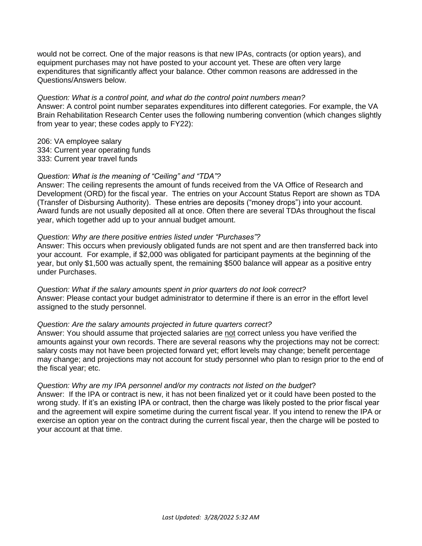would not be correct. One of the major reasons is that new IPAs, contracts (or option years), and equipment purchases may not have posted to your account yet. These are often very large expenditures that significantly affect your balance. Other common reasons are addressed in the Questions/Answers below.

#### *Question: What is a control point, and what do the control point numbers mean?*

Answer: A control point number separates expenditures into different categories. For example, the VA Brain Rehabilitation Research Center uses the following numbering convention (which changes slightly from year to year; these codes apply to FY22):

206: VA employee salary

- 334: Current year operating funds
- 333: Current year travel funds

# *Question: What is the meaning of "Ceiling" and "TDA"?*

Answer: The ceiling represents the amount of funds received from the VA Office of Research and Development (ORD) for the fiscal year. The entries on your Account Status Report are shown as TDA (Transfer of Disbursing Authority). These entries are deposits ("money drops") into your account. Award funds are not usually deposited all at once. Often there are several TDAs throughout the fiscal year, which together add up to your annual budget amount.

#### *Question: Why are there positive entries listed under "Purchases"?*

Answer: This occurs when previously obligated funds are not spent and are then transferred back into your account. For example, if \$2,000 was obligated for participant payments at the beginning of the year, but only \$1,500 was actually spent, the remaining \$500 balance will appear as a positive entry under Purchases.

*Question: What if the salary amounts spent in prior quarters do not look correct?* Answer: Please contact your budget administrator to determine if there is an error in the effort level assigned to the study personnel.

#### *Question: Are the salary amounts projected in future quarters correct?*

Answer: You should assume that projected salaries are not correct unless you have verified the amounts against your own records. There are several reasons why the projections may not be correct: salary costs may not have been projected forward yet; effort levels may change; benefit percentage may change; and projections may not account for study personnel who plan to resign prior to the end of the fiscal year; etc.

# *Question: Why are my IPA personnel and/or my contracts not listed on the budget*?

Answer: If the IPA or contract is new, it has not been finalized yet or it could have been posted to the wrong study. If it's an existing IPA or contract, then the charge was likely posted to the prior fiscal year and the agreement will expire sometime during the current fiscal year. If you intend to renew the IPA or exercise an option year on the contract during the current fiscal year, then the charge will be posted to your account at that time.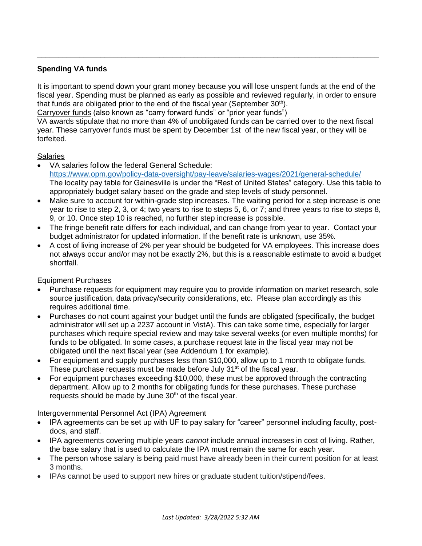# **Spending VA funds**

It is important to spend down your grant money because you will lose unspent funds at the end of the fiscal year. Spending must be planned as early as possible and reviewed regularly, in order to ensure that funds are obligated prior to the end of the fiscal year (September  $30<sup>th</sup>$ ).

**\_\_\_\_\_\_\_\_\_\_\_\_\_\_\_\_\_\_\_\_\_\_\_\_\_\_\_\_\_\_\_\_\_\_\_\_\_\_\_\_\_\_\_\_\_\_\_\_\_\_\_\_\_\_\_\_\_\_\_\_\_\_\_\_\_\_\_\_\_\_\_\_\_\_\_\_\_\_\_\_\_**

Carryover funds (also known as "carry forward funds" or "prior year funds")

VA awards stipulate that no more than 4% of unobligated funds can be carried over to the next fiscal year. These carryover funds must be spent by December 1st of the new fiscal year, or they will be forfeited.

# **Salaries**

- VA salaries follow the federal General Schedule: <https://www.opm.gov/policy-data-oversight/pay-leave/salaries-wages/2021/general-schedule/> The locality pay table for Gainesville is under the "Rest of United States" category. Use this table to appropriately budget salary based on the grade and step levels of study personnel.
- Make sure to account for within-grade step increases. The waiting period for a step increase is one year to rise to step 2, 3, or 4; two years to rise to steps 5, 6, or 7; and three years to rise to steps 8, 9, or 10. Once step 10 is reached, no further step increase is possible.
- The fringe benefit rate differs for each individual, and can change from year to year. Contact your budget administrator for updated information. If the benefit rate is unknown, use 35%.
- A cost of living increase of 2% per year should be budgeted for VA employees. This increase does not always occur and/or may not be exactly 2%, but this is a reasonable estimate to avoid a budget shortfall.

# Equipment Purchases

- Purchase requests for equipment may require you to provide information on market research, sole source justification, data privacy/security considerations, etc. Please plan accordingly as this requires additional time.
- Purchases do not count against your budget until the funds are obligated (specifically, the budget administrator will set up a 2237 account in VistA). This can take some time, especially for larger purchases which require special review and may take several weeks (or even multiple months) for funds to be obligated. In some cases, a purchase request late in the fiscal year may not be obligated until the next fiscal year (see Addendum 1 for example).
- For equipment and supply purchases less than \$10,000, allow up to 1 month to obligate funds. These purchase requests must be made before July 31<sup>st</sup> of the fiscal year.
- For equipment purchases exceeding \$10,000, these must be approved through the contracting department. Allow up to 2 months for obligating funds for these purchases. These purchase requests should be made by June  $30<sup>th</sup>$  of the fiscal year.

# Intergovernmental Personnel Act (IPA) Agreement

- IPA agreements can be set up with UF to pay salary for "career" personnel including faculty, postdocs, and staff.
- IPA agreements covering multiple years *cannot* include annual increases in cost of living. Rather, the base salary that is used to calculate the IPA must remain the same for each year.
- The person whose salary is being paid must have already been in their current position for at least 3 months.
- IPAs cannot be used to support new hires or graduate student tuition/stipend/fees.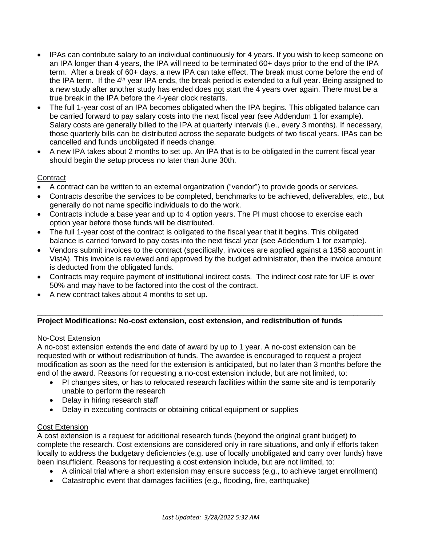- IPAs can contribute salary to an individual continuously for 4 years. If you wish to keep someone on an IPA longer than 4 years, the IPA will need to be terminated 60+ days prior to the end of the IPA term. After a break of 60+ days, a new IPA can take effect. The break must come before the end of the IPA term. If the  $4<sup>th</sup>$  year IPA ends, the break period is extended to a full year. Being assigned to a new study after another study has ended does not start the 4 years over again. There must be a true break in the IPA before the 4-year clock restarts.
- The full 1-year cost of an IPA becomes obligated when the IPA begins. This obligated balance can be carried forward to pay salary costs into the next fiscal year (see Addendum 1 for example). Salary costs are generally billed to the IPA at quarterly intervals (i.e., every 3 months). If necessary, those quarterly bills can be distributed across the separate budgets of two fiscal years. IPAs can be cancelled and funds unobligated if needs change.
- A new IPA takes about 2 months to set up. An IPA that is to be obligated in the current fiscal year should begin the setup process no later than June 30th.

# **Contract**

- A contract can be written to an external organization ("vendor") to provide goods or services.
- Contracts describe the services to be completed, benchmarks to be achieved, deliverables, etc., but generally do not name specific individuals to do the work.
- Contracts include a base year and up to 4 option years. The PI must choose to exercise each option year before those funds will be distributed.
- The full 1-year cost of the contract is obligated to the fiscal year that it begins. This obligated balance is carried forward to pay costs into the next fiscal year (see Addendum 1 for example).
- Vendors submit invoices to the contract (specifically, invoices are applied against a 1358 account in VistA). This invoice is reviewed and approved by the budget administrator, then the invoice amount is deducted from the obligated funds.
- Contracts may require payment of institutional indirect costs. The indirect cost rate for UF is over 50% and may have to be factored into the cost of the contract.
- A new contract takes about 4 months to set up.

# **Project Modifications: No-cost extension, cost extension, and redistribution of funds**

# No-Cost Extension

A no-cost extension extends the end date of award by up to 1 year. A no-cost extension can be requested with or without redistribution of funds. The awardee is encouraged to request a project modification as soon as the need for the extension is anticipated, but no later than 3 months before the end of the award. Reasons for requesting a no-cost extension include, but are not limited, to:

**\_\_\_\_\_\_\_\_\_\_\_\_\_\_\_\_\_\_\_\_\_\_\_\_\_\_\_\_\_\_\_\_\_\_\_\_\_\_\_\_\_\_\_\_\_\_\_\_\_\_\_\_\_\_\_\_\_\_\_\_\_\_\_\_\_\_\_\_\_\_\_\_\_\_\_\_\_\_\_\_\_\_**

- PI changes sites, or has to relocated research facilities within the same site and is temporarily unable to perform the research
- Delay in hiring research staff
- Delay in executing contracts or obtaining critical equipment or supplies

# Cost Extension

A cost extension is a request for additional research funds (beyond the original grant budget) to complete the research. Cost extensions are considered only in rare situations, and only if efforts taken locally to address the budgetary deficiencies (e.g. use of locally unobligated and carry over funds) have been insufficient. Reasons for requesting a cost extension include, but are not limited, to:

- A clinical trial where a short extension may ensure success (e.g., to achieve target enrollment)
- Catastrophic event that damages facilities (e.g., flooding, fire, earthquake)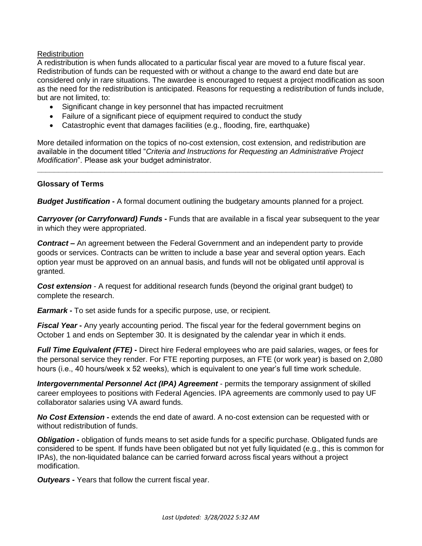# **Redistribution**

A redistribution is when funds allocated to a particular fiscal year are moved to a future fiscal year. Redistribution of funds can be requested with or without a change to the award end date but are considered only in rare situations. The awardee is encouraged to request a project modification as soon as the need for the redistribution is anticipated. Reasons for requesting a redistribution of funds include, but are not limited, to:

- Significant change in key personnel that has impacted recruitment
- Failure of a significant piece of equipment required to conduct the study
- Catastrophic event that damages facilities (e.g., flooding, fire, earthquake)

More detailed information on the topics of no-cost extension, cost extension, and redistribution are available in the document titled "*Criteria and Instructions for Requesting an Administrative Project Modification*". Please ask your budget administrator.

**\_\_\_\_\_\_\_\_\_\_\_\_\_\_\_\_\_\_\_\_\_\_\_\_\_\_\_\_\_\_\_\_\_\_\_\_\_\_\_\_\_\_\_\_\_\_\_\_\_\_\_\_\_\_\_\_\_\_\_\_\_\_\_\_\_\_\_\_\_\_\_\_\_\_\_\_\_\_\_\_\_\_**

# **Glossary of Terms**

*Budget Justification* **-** A formal document outlining the budgetary amounts planned for a project.

*Carryover (or Carryforward) Funds* **-** Funds that are available in a fiscal year subsequent to the year in which they were appropriated.

*Contract* **–** An agreement between the Federal Government and an independent party to provide goods or services. Contracts can be written to include a base year and several option years. Each option year must be approved on an annual basis, and funds will not be obligated until approval is granted.

*Cost extension* - A request for additional research funds (beyond the original grant budget) to complete the research.

*Earmark* **-** To set aside funds for a specific purpose, use, or recipient.

**Fiscal Year** - Any yearly accounting period. The fiscal year for the federal government begins on October 1 and ends on September 30. It is designated by the calendar year in which it ends.

*Full Time Equivalent (FTE)* **-** Direct hire Federal employees who are paid salaries, wages, or fees for the personal service they render. For FTE reporting purposes, an FTE (or work year) is based on 2,080 hours (i.e., 40 hours/week x 52 weeks), which is equivalent to one year's full time work schedule.

*Intergovernmental Personnel Act (IPA) Agreement* - permits the temporary assignment of skilled career employees to positions with Federal Agencies. IPA agreements are commonly used to pay UF collaborator salaries using VA award funds.

*No Cost Extension* **-** extends the end date of award. A no-cost extension can be requested with or without redistribution of funds.

**Obligation** - obligation of funds means to set aside funds for a specific purchase. Obligated funds are considered to be spent. If funds have been obligated but not yet fully liquidated (e.g., this is common for IPAs), the non-liquidated balance can be carried forward across fiscal years without a project modification.

*Outyears* **-** Years that follow the current fiscal year.